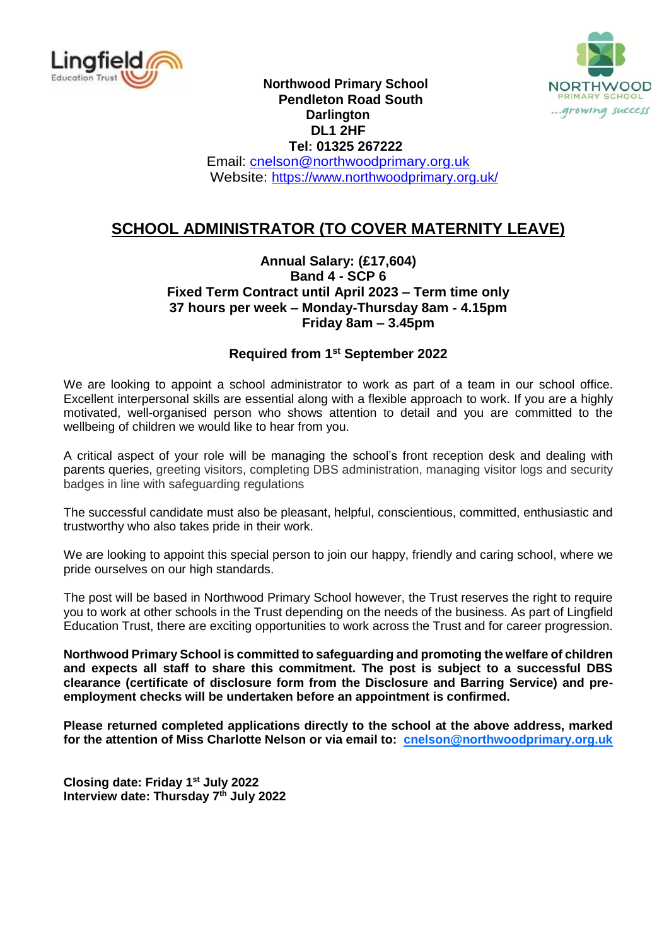



 **Northwood Primary School Pendleton Road South Darlington DL1 2HF Tel: 01325 267222** Email: [cnelson@northwoodprimary.org.uk](mailto:cnelson@northwoodprimary.org.uk)

Website:<https://www.northwoodprimary.org.uk/>

## **SCHOOL ADMINISTRATOR (TO COVER MATERNITY LEAVE)**

#### **Annual Salary: (£17,604) Band 4 - SCP 6 Fixed Term Contract until April 2023 – Term time only 37 hours per week – Monday-Thursday 8am - 4.15pm Friday 8am – 3.45pm**

### **Required from 1 st September 2022**

We are looking to appoint a school administrator to work as part of a team in our school office. Excellent interpersonal skills are essential along with a flexible approach to work. If you are a highly motivated, well-organised person who shows attention to detail and you are committed to the wellbeing of children we would like to hear from you.

A critical aspect of your role will be managing the school's front reception desk and dealing with parents queries, greeting visitors, completing DBS administration, managing visitor logs and security badges in line with safeguarding regulations

The successful candidate must also be pleasant, helpful, conscientious, committed, enthusiastic and trustworthy who also takes pride in their work.

We are looking to appoint this special person to join our happy, friendly and caring school, where we pride ourselves on our high standards.

The post will be based in Northwood Primary School however, the Trust reserves the right to require you to work at other schools in the Trust depending on the needs of the business. As part of Lingfield Education Trust, there are exciting opportunities to work across the Trust and for career progression.

**Northwood Primary School is committed to safeguarding and promoting the welfare of children and expects all staff to share this commitment. The post is subject to a successful DBS clearance (certificate of disclosure form from the Disclosure and Barring Service) and preemployment checks will be undertaken before an appointment is confirmed.**

**Please returned completed applications directly to the school at the above address, marked for the attention of Miss Charlotte Nelson or via email to: cnelson@northwoodprimary.org.uk**

**Closing date: Friday 1 st July 2022 Interview date: Thursday 7 th July 2022**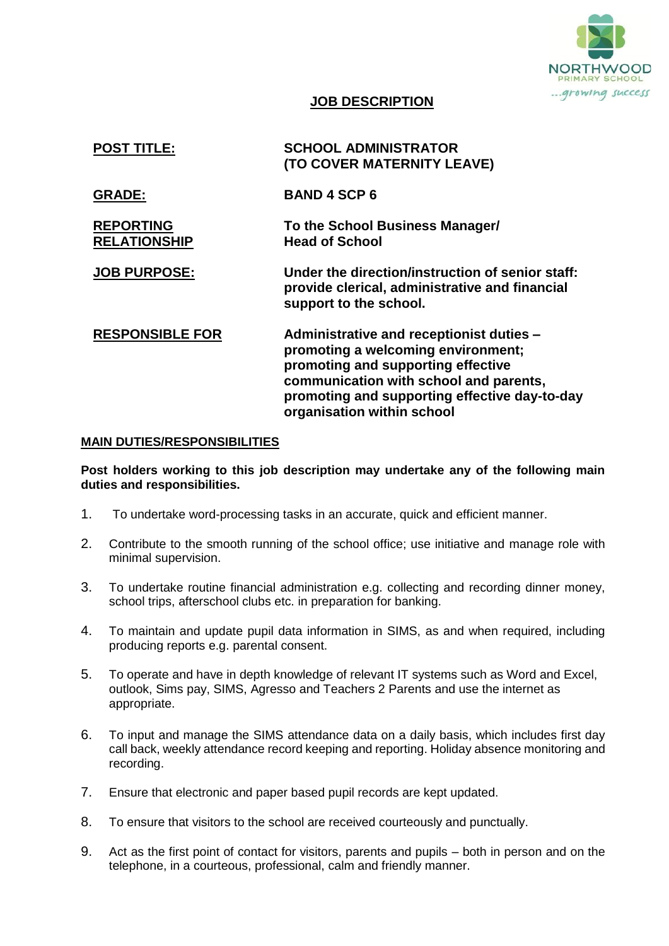

#### **JOB DESCRIPTION**

| <b>POST TITLE:</b>                      | <b>SCHOOL ADMINISTRATOR</b><br>(TO COVER MATERNITY LEAVE)                                                                                                                                                                                     |
|-----------------------------------------|-----------------------------------------------------------------------------------------------------------------------------------------------------------------------------------------------------------------------------------------------|
| <b>GRADE:</b>                           | <b>BAND 4 SCP 6</b>                                                                                                                                                                                                                           |
| <b>REPORTING</b><br><b>RELATIONSHIP</b> | To the School Business Manager/<br><b>Head of School</b>                                                                                                                                                                                      |
| <b>JOB PURPOSE:</b>                     | Under the direction/instruction of senior staff:<br>provide clerical, administrative and financial<br>support to the school.                                                                                                                  |
| <b>RESPONSIBLE FOR</b>                  | Administrative and receptionist duties -<br>promoting a welcoming environment;<br>promoting and supporting effective<br>communication with school and parents,<br>promoting and supporting effective day-to-day<br>organisation within school |

#### **MAIN DUTIES/RESPONSIBILITIES**

**Post holders working to this job description may undertake any of the following main duties and responsibilities.**

- 1. To undertake word-processing tasks in an accurate, quick and efficient manner.
- 2. Contribute to the smooth running of the school office; use initiative and manage role with minimal supervision.
- 3. To undertake routine financial administration e.g. collecting and recording dinner money, school trips, afterschool clubs etc. in preparation for banking.
- 4. To maintain and update pupil data information in SIMS, as and when required, including producing reports e.g. parental consent.
- 5. To operate and have in depth knowledge of relevant IT systems such as Word and Excel, outlook, Sims pay, SIMS, Agresso and Teachers 2 Parents and use the internet as appropriate.
- 6. To input and manage the SIMS attendance data on a daily basis, which includes first day call back, weekly attendance record keeping and reporting. Holiday absence monitoring and recording.
- 7. Ensure that electronic and paper based pupil records are kept updated.
- 8. To ensure that visitors to the school are received courteously and punctually.
- 9. Act as the first point of contact for visitors, parents and pupils both in person and on the telephone, in a courteous, professional, calm and friendly manner.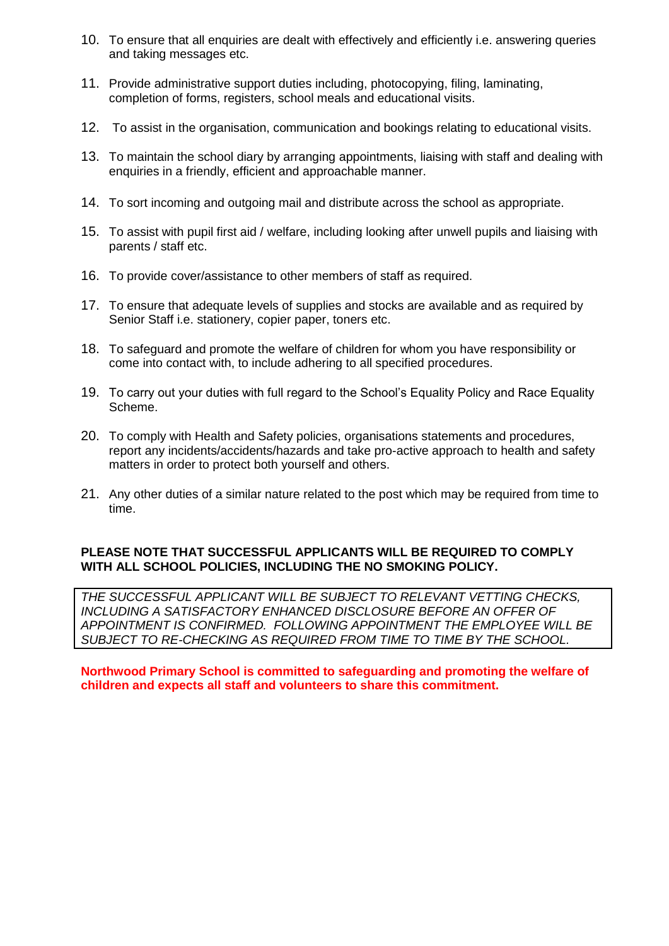- 10. To ensure that all enquiries are dealt with effectively and efficiently i.e. answering queries and taking messages etc.
- 11. Provide administrative support duties including, photocopying, filing, laminating, completion of forms, registers, school meals and educational visits.
- 12. To assist in the organisation, communication and bookings relating to educational visits.
- 13. To maintain the school diary by arranging appointments, liaising with staff and dealing with enquiries in a friendly, efficient and approachable manner.
- 14. To sort incoming and outgoing mail and distribute across the school as appropriate.
- 15. To assist with pupil first aid / welfare, including looking after unwell pupils and liaising with parents / staff etc.
- 16. To provide cover/assistance to other members of staff as required.
- 17. To ensure that adequate levels of supplies and stocks are available and as required by Senior Staff i.e. stationery, copier paper, toners etc.
- 18. To safeguard and promote the welfare of children for whom you have responsibility or come into contact with, to include adhering to all specified procedures.
- 19. To carry out your duties with full regard to the School's Equality Policy and Race Equality Scheme.
- 20. To comply with Health and Safety policies, organisations statements and procedures, report any incidents/accidents/hazards and take pro-active approach to health and safety matters in order to protect both yourself and others.
- 21. Any other duties of a similar nature related to the post which may be required from time to time.

#### **PLEASE NOTE THAT SUCCESSFUL APPLICANTS WILL BE REQUIRED TO COMPLY WITH ALL SCHOOL POLICIES, INCLUDING THE NO SMOKING POLICY.**

*THE SUCCESSFUL APPLICANT WILL BE SUBJECT TO RELEVANT VETTING CHECKS, INCLUDING A SATISFACTORY ENHANCED DISCLOSURE BEFORE AN OFFER OF APPOINTMENT IS CONFIRMED. FOLLOWING APPOINTMENT THE EMPLOYEE WILL BE SUBJECT TO RE-CHECKING AS REQUIRED FROM TIME TO TIME BY THE SCHOOL.*

**Northwood Primary School is committed to safeguarding and promoting the welfare of children and expects all staff and volunteers to share this commitment.**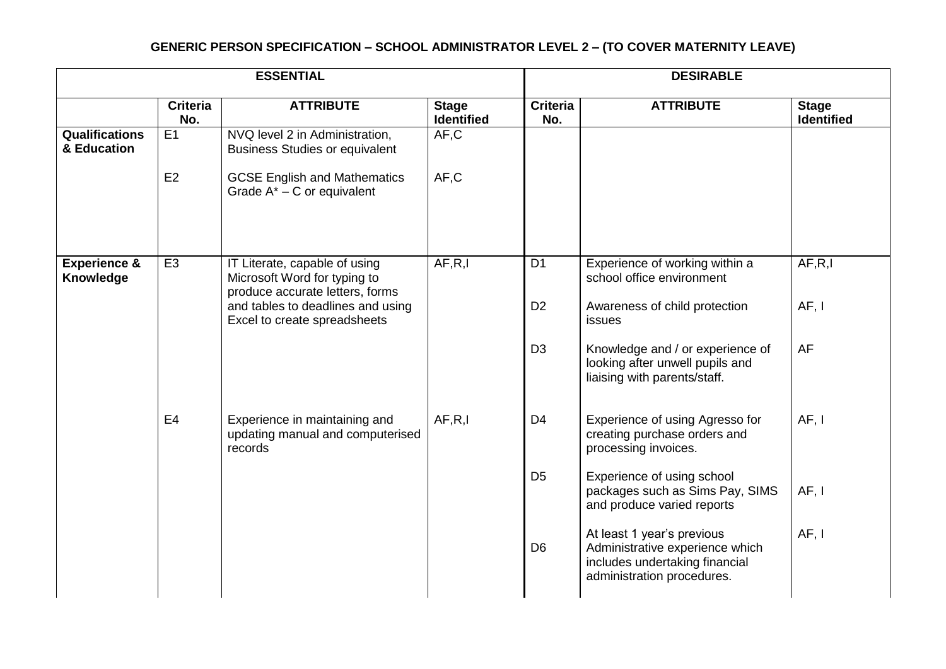# **GENERIC PERSON SPECIFICATION – SCHOOL ADMINISTRATOR LEVEL 2 – (TO COVER MATERNITY LEAVE)**

| <b>ESSENTIAL</b>                     |                        |                                                                                                  |                                   | <b>DESIRABLE</b>       |                                                                                                                               |                                   |
|--------------------------------------|------------------------|--------------------------------------------------------------------------------------------------|-----------------------------------|------------------------|-------------------------------------------------------------------------------------------------------------------------------|-----------------------------------|
|                                      | <b>Criteria</b><br>No. | <b>ATTRIBUTE</b>                                                                                 | <b>Stage</b><br><b>Identified</b> | <b>Criteria</b><br>No. | <b>ATTRIBUTE</b>                                                                                                              | <b>Stage</b><br><b>Identified</b> |
| <b>Qualifications</b><br>& Education | E1                     | NVQ level 2 in Administration,<br><b>Business Studies or equivalent</b>                          | AF, C                             |                        |                                                                                                                               |                                   |
|                                      | E2                     | <b>GCSE English and Mathematics</b><br>Grade $A^*$ – C or equivalent                             | AF, C                             |                        |                                                                                                                               |                                   |
| <b>Experience &amp;</b><br>Knowledge | E <sub>3</sub>         | IT Literate, capable of using<br>Microsoft Word for typing to<br>produce accurate letters, forms | AF, R, I                          | D <sub>1</sub>         | Experience of working within a<br>school office environment                                                                   | AF, R, I                          |
|                                      |                        | and tables to deadlines and using<br>Excel to create spreadsheets                                |                                   | D <sub>2</sub>         | Awareness of child protection<br>issues                                                                                       | AF, I                             |
|                                      |                        |                                                                                                  |                                   | D <sub>3</sub>         | Knowledge and / or experience of<br>looking after unwell pupils and<br>liaising with parents/staff.                           | <b>AF</b>                         |
|                                      | E <sub>4</sub>         | Experience in maintaining and<br>updating manual and computerised<br>records                     | AF, R, I                          | D <sub>4</sub>         | Experience of using Agresso for<br>creating purchase orders and<br>processing invoices.                                       | AF, I                             |
|                                      |                        |                                                                                                  |                                   | D <sub>5</sub>         | Experience of using school<br>packages such as Sims Pay, SIMS<br>and produce varied reports                                   | AF, I                             |
|                                      |                        |                                                                                                  |                                   | D <sub>6</sub>         | At least 1 year's previous<br>Administrative experience which<br>includes undertaking financial<br>administration procedures. | AF, I                             |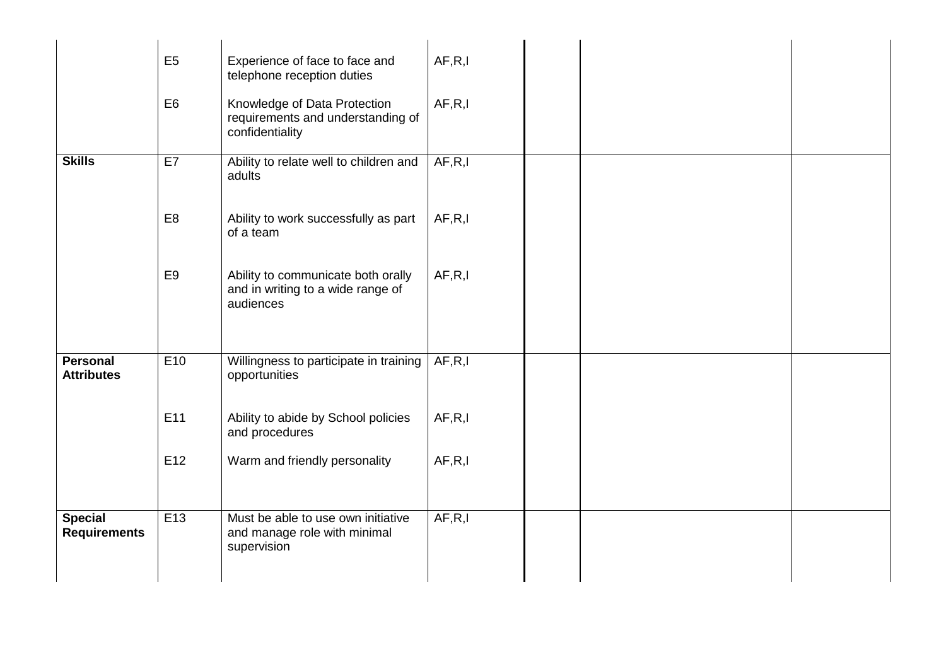|                                       | E <sub>5</sub>  | Experience of face to face and<br>telephone reception duties                         | AF, R, I |  |  |
|---------------------------------------|-----------------|--------------------------------------------------------------------------------------|----------|--|--|
|                                       | E <sub>6</sub>  | Knowledge of Data Protection<br>requirements and understanding of<br>confidentiality | AF, R, I |  |  |
| <b>Skills</b>                         | E7              | Ability to relate well to children and<br>adults                                     | AF, R, I |  |  |
|                                       | E <sub>8</sub>  | Ability to work successfully as part<br>of a team                                    | AF, R, I |  |  |
|                                       | E <sub>9</sub>  | Ability to communicate both orally<br>and in writing to a wide range of<br>audiences | AF, R, I |  |  |
| <b>Personal</b><br><b>Attributes</b>  | E <sub>10</sub> | Willingness to participate in training<br>opportunities                              | AF, R, I |  |  |
|                                       | E11             | Ability to abide by School policies<br>and procedures                                | AF, R, I |  |  |
|                                       | E12             | Warm and friendly personality                                                        | AF, R, I |  |  |
| <b>Special</b><br><b>Requirements</b> | E13             | Must be able to use own initiative<br>and manage role with minimal<br>supervision    | AF, R, I |  |  |